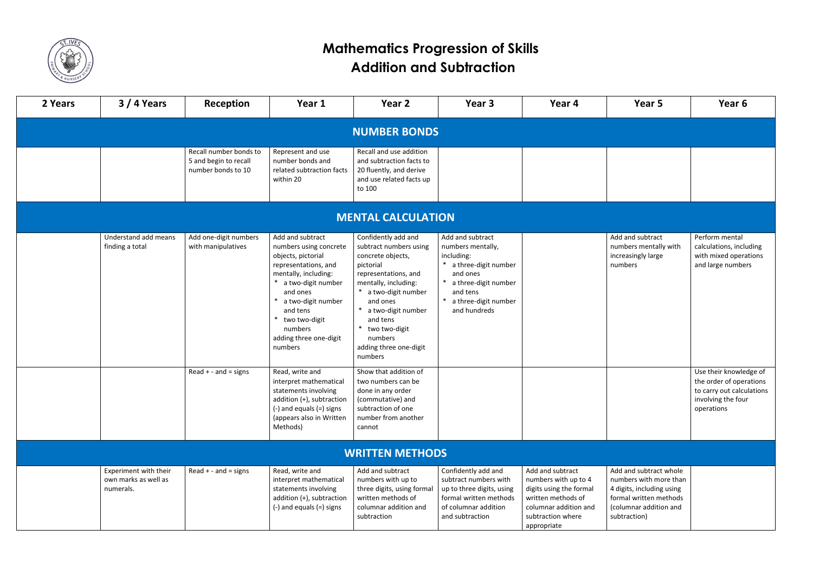

## **Mathematics Progression of Skills Addition and Subtraction**

| 2 Years                   | $3/4$ Years                                                | Reception                                                             | Year 1                                                                                                                                                                                                                                                | Year 2                                                                                                                                                                                                                                                               | Year 3                                                                                                                                                                        | Year 4                                                                                                                                                 | Year 5                                                                                                                                            | Year 6                                                                                                             |  |  |  |  |
|---------------------------|------------------------------------------------------------|-----------------------------------------------------------------------|-------------------------------------------------------------------------------------------------------------------------------------------------------------------------------------------------------------------------------------------------------|----------------------------------------------------------------------------------------------------------------------------------------------------------------------------------------------------------------------------------------------------------------------|-------------------------------------------------------------------------------------------------------------------------------------------------------------------------------|--------------------------------------------------------------------------------------------------------------------------------------------------------|---------------------------------------------------------------------------------------------------------------------------------------------------|--------------------------------------------------------------------------------------------------------------------|--|--|--|--|
| <b>NUMBER BONDS</b>       |                                                            |                                                                       |                                                                                                                                                                                                                                                       |                                                                                                                                                                                                                                                                      |                                                                                                                                                                               |                                                                                                                                                        |                                                                                                                                                   |                                                                                                                    |  |  |  |  |
|                           |                                                            | Recall number bonds to<br>5 and begin to recall<br>number bonds to 10 | Represent and use<br>number bonds and<br>related subtraction facts<br>within 20                                                                                                                                                                       | Recall and use addition<br>and subtraction facts to<br>20 fluently, and derive<br>and use related facts up<br>to 100                                                                                                                                                 |                                                                                                                                                                               |                                                                                                                                                        |                                                                                                                                                   |                                                                                                                    |  |  |  |  |
| <b>MENTAL CALCULATION</b> |                                                            |                                                                       |                                                                                                                                                                                                                                                       |                                                                                                                                                                                                                                                                      |                                                                                                                                                                               |                                                                                                                                                        |                                                                                                                                                   |                                                                                                                    |  |  |  |  |
|                           | Understand add means<br>finding a total                    | Add one-digit numbers<br>with manipulatives                           | Add and subtract<br>numbers using concrete<br>objects, pictorial<br>representations, and<br>mentally, including:<br>a two-digit number<br>and ones<br>a two-digit number<br>and tens<br>two two-digit<br>numbers<br>adding three one-digit<br>numbers | Confidently add and<br>subtract numbers using<br>concrete objects,<br>pictorial<br>representations, and<br>mentally, including:<br>a two-digit number<br>and ones<br>a two-digit number<br>and tens<br>two two-digit<br>numbers<br>adding three one-digit<br>numbers | Add and subtract<br>numbers mentally,<br>including:<br>a three-digit number<br>and ones<br>a three-digit number<br>and tens<br>a three-digit number<br>$\ast$<br>and hundreds |                                                                                                                                                        | Add and subtract<br>numbers mentally with<br>increasingly large<br>numbers                                                                        | Perform mental<br>calculations, including<br>with mixed operations<br>and large numbers                            |  |  |  |  |
|                           |                                                            | $Read + - and = signs$                                                | Read, write and<br>interpret mathematical<br>statements involving<br>addition (+), subtraction<br>$(-)$ and equals $(=)$ signs<br>(appears also in Written<br>Methods)                                                                                | Show that addition of<br>two numbers can be<br>done in any order<br>(commutative) and<br>subtraction of one<br>number from another<br>cannot                                                                                                                         |                                                                                                                                                                               |                                                                                                                                                        |                                                                                                                                                   | Use their knowledge of<br>the order of operations<br>to carry out calculations<br>involving the four<br>operations |  |  |  |  |
| <b>WRITTEN METHODS</b>    |                                                            |                                                                       |                                                                                                                                                                                                                                                       |                                                                                                                                                                                                                                                                      |                                                                                                                                                                               |                                                                                                                                                        |                                                                                                                                                   |                                                                                                                    |  |  |  |  |
|                           | Experiment with their<br>own marks as well as<br>numerals. | $Read + - and = signs$                                                | Read, write and<br>interpret mathematical<br>statements involving<br>addition (+), subtraction<br>$(-)$ and equals $(=)$ signs                                                                                                                        | Add and subtract<br>numbers with up to<br>three digits, using formal<br>written methods of<br>columnar addition and<br>subtraction                                                                                                                                   | Confidently add and<br>subtract numbers with<br>up to three digits, using<br>formal written methods<br>of columnar addition<br>and subtraction                                | Add and subtract<br>numbers with up to 4<br>digits using the formal<br>written methods of<br>columnar addition and<br>subtraction where<br>appropriate | Add and subtract whole<br>numbers with more than<br>4 digits, including using<br>formal written methods<br>(columnar addition and<br>subtraction) |                                                                                                                    |  |  |  |  |